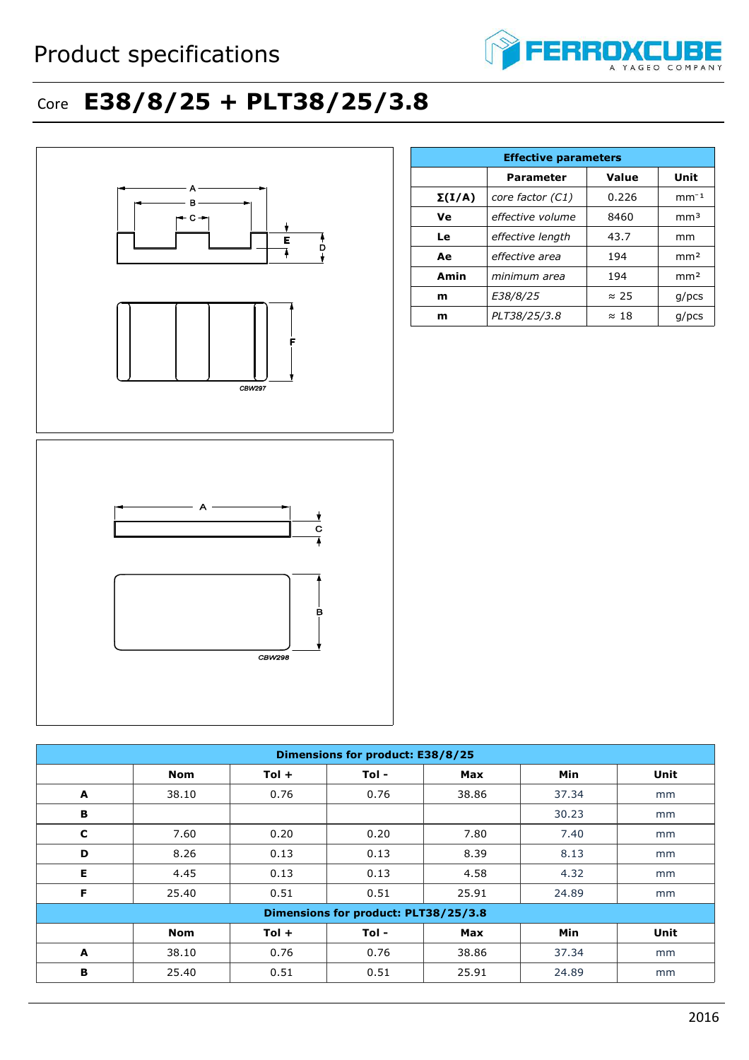

## Core **E38/8/25 + PLT38/25/3.8**



| <b>Effective parameters</b> |                                   |              |                 |  |  |  |
|-----------------------------|-----------------------------------|--------------|-----------------|--|--|--|
|                             | Value<br>Unit<br><b>Parameter</b> |              |                 |  |  |  |
| $\Sigma(I/A)$               | core factor (C1)                  | 0.226        | $mm-1$          |  |  |  |
| Ve                          | effective volume                  | 8460         | mm <sup>3</sup> |  |  |  |
| Le                          | effective length                  | 43.7         | mm              |  |  |  |
| Ae                          | effective area                    | 194          | mm <sup>2</sup> |  |  |  |
| Amin                        | minimum area                      | 194          | mm <sup>2</sup> |  |  |  |
| m                           | E38/8/25                          | $\approx$ 25 | $g$ /pcs        |  |  |  |
| m                           | PLT38/25/3.8                      | $\approx$ 18 | $g$ /pcs        |  |  |  |

| Dimensions for product: E38/8/25     |       |         |       |            |       |      |
|--------------------------------------|-------|---------|-------|------------|-------|------|
|                                      | Nom   | $Tol +$ | Tol - | <b>Max</b> | Min   | Unit |
| A                                    | 38.10 | 0.76    | 0.76  | 38.86      | 37.34 | mm   |
| B                                    |       |         |       |            | 30.23 | mm   |
| C                                    | 7.60  | 0.20    | 0.20  | 7.80       | 7.40  | mm   |
| D                                    | 8.26  | 0.13    | 0.13  | 8.39       | 8.13  | mm   |
| Е                                    | 4.45  | 0.13    | 0.13  | 4.58       | 4.32  | mm   |
| F                                    | 25.40 | 0.51    | 0.51  | 25.91      | 24.89 | mm   |
| Dimensions for product: PLT38/25/3.8 |       |         |       |            |       |      |
|                                      | Nom   | $Tol +$ | Tol - | Max        | Min   | Unit |
| A                                    | 38.10 | 0.76    | 0.76  | 38.86      | 37.34 | mm   |
| B                                    | 25.40 | 0.51    | 0.51  | 25.91      | 24.89 | mm   |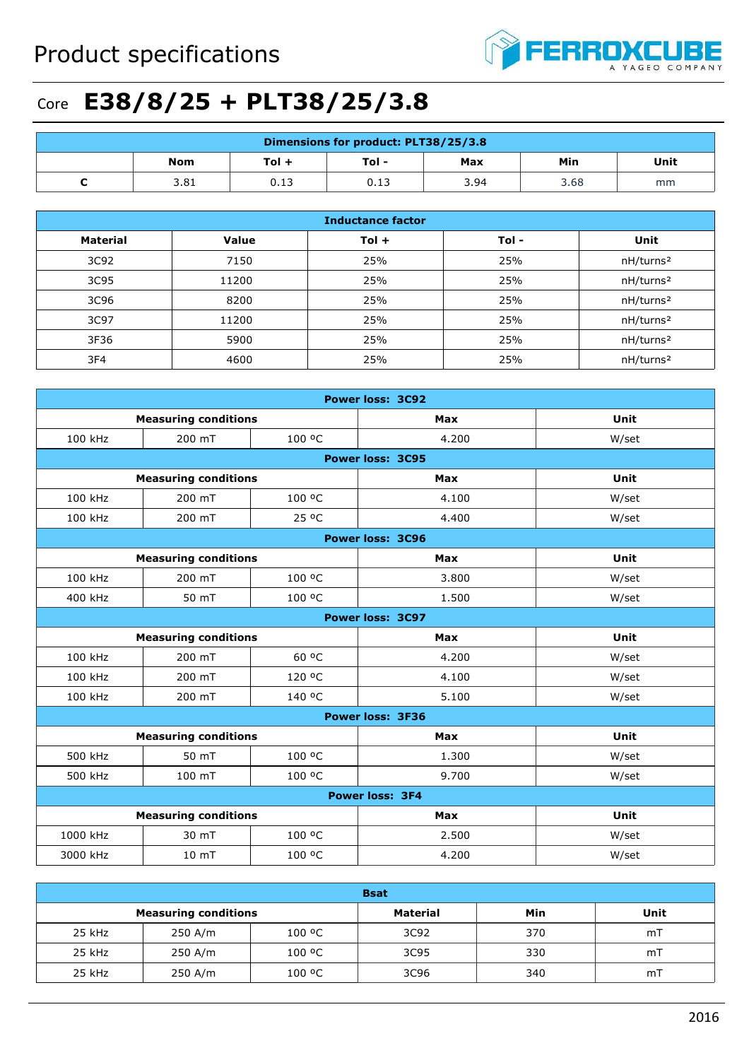

## Core **E38/8/25 + PLT38/25/3.8**

| Dimensions for product: PLT38/25/3.8               |      |      |      |      |      |    |
|----------------------------------------------------|------|------|------|------|------|----|
| Min<br>Tol -<br>Unit<br>Tol +<br><b>Nom</b><br>Max |      |      |      |      |      |    |
|                                                    | 3.81 | 0.13 | 0.13 | 3.94 | 3.68 | mm |

| <b>Inductance factor</b> |              |         |         |                       |  |  |
|--------------------------|--------------|---------|---------|-----------------------|--|--|
| <b>Material</b>          | <b>Value</b> | $Tol +$ | $Tol -$ | Unit                  |  |  |
| 3C92                     | 7150         | 25%     | 25%     | nH/turns <sup>2</sup> |  |  |
| 3C95                     | 11200        | 25%     | 25%     | nH/turns <sup>2</sup> |  |  |
| 3C96                     | 8200         | 25%     | 25%     | nH/turns <sup>2</sup> |  |  |
| 3C97                     | 11200        | 25%     | 25%     | nH/turns <sup>2</sup> |  |  |
| 3F36                     | 5900         | 25%     | 25%     | nH/turns <sup>2</sup> |  |  |
| 3F4                      | 4600         | 25%     | 25%     | nH/turns <sup>2</sup> |  |  |

| Power loss: 3C92       |                             |        |                         |       |  |  |  |
|------------------------|-----------------------------|--------|-------------------------|-------|--|--|--|
|                        | <b>Measuring conditions</b> |        | Max                     | Unit  |  |  |  |
| 100 kHz                | 200 mT                      | 100 °C | 4.200                   | W/set |  |  |  |
|                        |                             |        | <b>Power loss: 3C95</b> |       |  |  |  |
|                        | <b>Measuring conditions</b> |        | <b>Max</b>              | Unit  |  |  |  |
| 100 kHz                | 200 mT                      | 100 °C | 4.100                   | W/set |  |  |  |
| 100 kHz                | 200 mT                      | 25 °C  | 4.400                   | W/set |  |  |  |
|                        |                             |        | <b>Power loss: 3C96</b> |       |  |  |  |
|                        | <b>Measuring conditions</b> |        | Max                     | Unit  |  |  |  |
| 100 kHz                | 200 mT                      | 100 °C | 3.800                   | W/set |  |  |  |
| 400 kHz                | 50 mT                       | 100 °C | 1.500                   | W/set |  |  |  |
|                        | Power loss: 3C97            |        |                         |       |  |  |  |
|                        | <b>Measuring conditions</b> |        | <b>Max</b>              | Unit  |  |  |  |
| 100 kHz                | 200 mT                      | 60 °C  | 4.200                   | W/set |  |  |  |
| 100 kHz                | 200 mT                      | 120 °C | 4.100                   | W/set |  |  |  |
| 100 kHz                | 200 mT                      | 140 °C | 5.100                   | W/set |  |  |  |
|                        | <b>Power loss: 3F36</b>     |        |                         |       |  |  |  |
|                        | <b>Measuring conditions</b> |        | Max                     | Unit  |  |  |  |
| 500 kHz                | 50 mT                       | 100 °C | 1.300                   | W/set |  |  |  |
| 500 kHz                | 100 mT                      | 100 °C | 9.700                   | W/set |  |  |  |
| <b>Power loss: 3F4</b> |                             |        |                         |       |  |  |  |
|                        | <b>Measuring conditions</b> |        | Max                     | Unit  |  |  |  |
| 1000 kHz               | 30 mT                       | 100 °C | 2.500                   | W/set |  |  |  |
| 3000 kHz               | 10 <sub>mT</sub>            | 100 °C | 4.200                   | W/set |  |  |  |

| <b>Bsat</b>                 |           |        |          |     |      |  |  |
|-----------------------------|-----------|--------|----------|-----|------|--|--|
| <b>Measuring conditions</b> |           |        | Material | Min | Unit |  |  |
| 25 kHz                      | 250 A/m   | 100 °C | 3C92     | 370 | mT   |  |  |
| 25 kHz                      | $250$ A/m | 100 °C | 3C95     | 330 | mT   |  |  |
| 25 kHz                      | $250$ A/m | 100 °C | 3C96     | 340 | mT   |  |  |